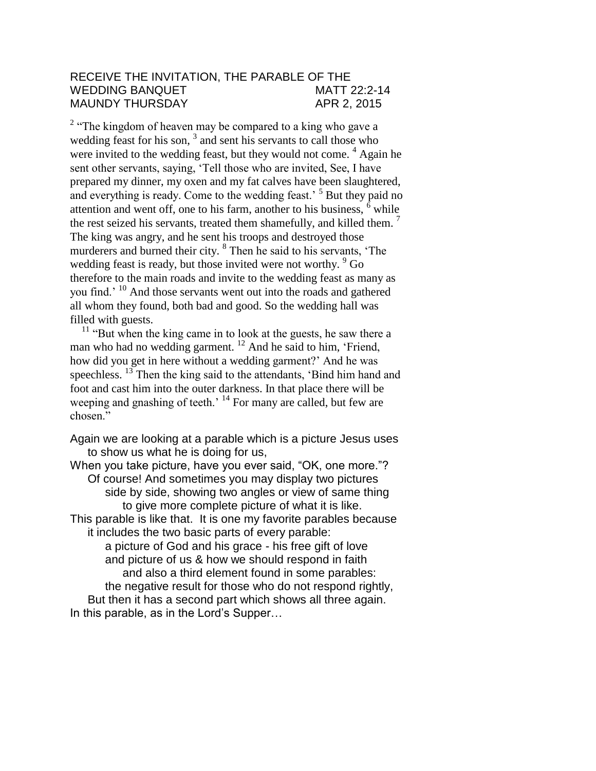## RECEIVE THE INVITATION, THE PARABLE OF THE WEDDING BANQUET MATT 22:2-14 MAUNDY THURSDAY APR 2, 2015

 $2 \cdot$  The kingdom of heaven may be compared to a king who gave a wedding feast for his son, <sup>3</sup> and sent his servants to call those who were invited to the wedding feast, but they would not come.  $4$  Again he sent other servants, saying, 'Tell those who are invited, See, I have prepared my dinner, my oxen and my fat calves have been slaughtered, and everything is ready. Come to the wedding feast.<sup>5</sup> But they paid no attention and went off, one to his farm, another to his business, <sup>6</sup> while the rest seized his servants, treated them shamefully, and killed them.  $<sup>7</sup>$ </sup> The king was angry, and he sent his troops and destroyed those murderers and burned their city. <sup>8</sup> Then he said to his servants, 'The wedding feast is ready, but those invited were not worthy. <sup>9</sup> Go therefore to the main roads and invite to the wedding feast as many as you find.' <sup>10</sup> And those servants went out into the roads and gathered all whom they found, both bad and good. So the wedding hall was filled with guests.

<sup>11</sup> "But when the king came in to look at the guests, he saw there a man who had no wedding garment.<sup>12</sup> And he said to him, 'Friend, how did you get in here without a wedding garment?' And he was speechless.<sup>13</sup> Then the king said to the attendants, 'Bind him hand and foot and cast him into the outer darkness. In that place there will be weeping and gnashing of teeth.<sup>' 14</sup> For many are called, but few are chosen<sup>"</sup>

Again we are looking at a parable which is a picture Jesus uses to show us what he is doing for us,

When you take picture, have you ever said, "OK, one more."? Of course! And sometimes you may display two pictures side by side, showing two angles or view of same thing to give more complete picture of what it is like. This parable is like that. It is one my favorite parables because it includes the two basic parts of every parable: a picture of God and his grace - his free gift of love and picture of us & how we should respond in faith and also a third element found in some parables: the negative result for those who do not respond rightly, But then it has a second part which shows all three again.

In this parable, as in the Lord's Supper…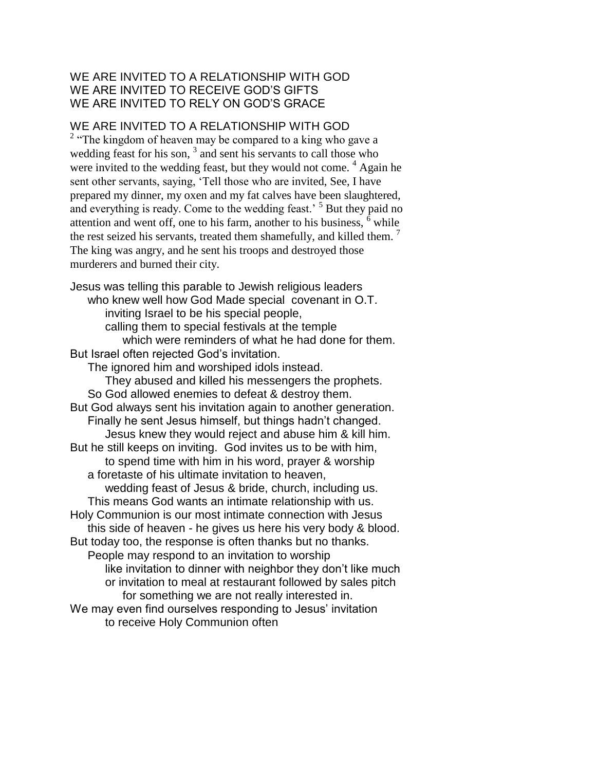# WE ARE INVITED TO A RELATIONSHIP WITH GOD WE ARE INVITED TO RECEIVE GOD'S GIFTS WE ARE INVITED TO RELY ON GOD'S GRACE

## WE ARE INVITED TO A RELATIONSHIP WITH GOD

 $2 \cdot$  The kingdom of heaven may be compared to a king who gave a wedding feast for his son,  $3$  and sent his servants to call those who were invited to the wedding feast, but they would not come. <sup>4</sup> Again he sent other servants, saying, 'Tell those who are invited, See, I have prepared my dinner, my oxen and my fat calves have been slaughtered, and everything is ready. Come to the wedding feast.<sup>5</sup> But they paid no attention and went off, one to his farm, another to his business,  $<sup>6</sup>$  while</sup> the rest seized his servants, treated them shamefully, and killed them.<sup>7</sup> The king was angry, and he sent his troops and destroyed those murderers and burned their city.

Jesus was telling this parable to Jewish religious leaders who knew well how God Made special covenant in O.T. inviting Israel to be his special people, calling them to special festivals at the temple which were reminders of what he had done for them. But Israel often rejected God's invitation. The ignored him and worshiped idols instead. They abused and killed his messengers the prophets. So God allowed enemies to defeat & destroy them. But God always sent his invitation again to another generation. Finally he sent Jesus himself, but things hadn't changed. Jesus knew they would reject and abuse him & kill him. But he still keeps on inviting. God invites us to be with him, to spend time with him in his word, prayer & worship a foretaste of his ultimate invitation to heaven, wedding feast of Jesus & bride, church, including us. This means God wants an intimate relationship with us. Holy Communion is our most intimate connection with Jesus this side of heaven - he gives us here his very body & blood. But today too, the response is often thanks but no thanks. People may respond to an invitation to worship like invitation to dinner with neighbor they don't like much or invitation to meal at restaurant followed by sales pitch for something we are not really interested in. We may even find ourselves responding to Jesus' invitation to receive Holy Communion often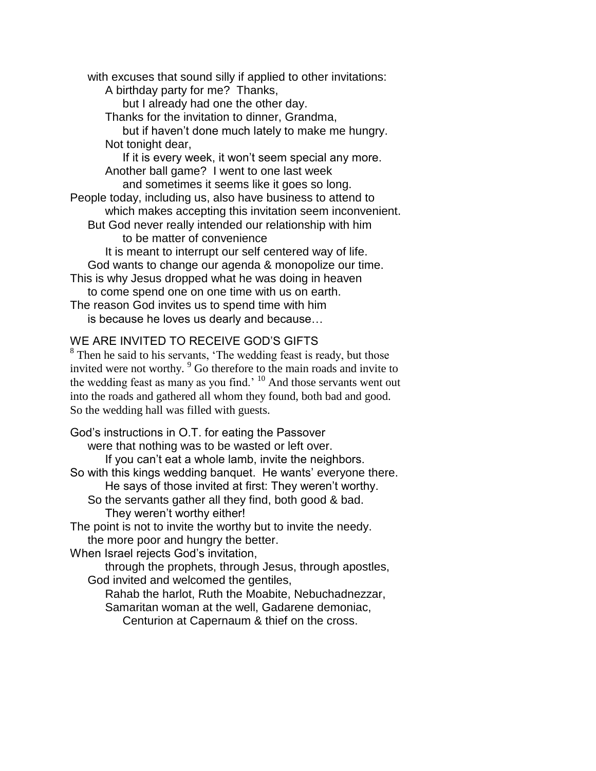with excuses that sound silly if applied to other invitations: A birthday party for me? Thanks, but I already had one the other day. Thanks for the invitation to dinner, Grandma, but if haven't done much lately to make me hungry. Not tonight dear, If it is every week, it won't seem special any more. Another ball game? I went to one last week and sometimes it seems like it goes so long. People today, including us, also have business to attend to which makes accepting this invitation seem inconvenient. But God never really intended our relationship with him to be matter of convenience It is meant to interrupt our self centered way of life. God wants to change our agenda & monopolize our time. This is why Jesus dropped what he was doing in heaven to come spend one on one time with us on earth. The reason God invites us to spend time with him

is because he loves us dearly and because…

#### WE ARE INVITED TO RECEIVE GOD'S GIFTS

 $8$  Then he said to his servants, 'The wedding feast is ready, but those invited were not worthy. <sup>9</sup> Go therefore to the main roads and invite to the wedding feast as many as you find.<sup>' 10</sup> And those servants went out into the roads and gathered all whom they found, both bad and good. So the wedding hall was filled with guests.

God's instructions in O.T. for eating the Passover were that nothing was to be wasted or left over. If you can't eat a whole lamb, invite the neighbors. So with this kings wedding banquet. He wants' everyone there. He says of those invited at first: They weren't worthy. So the servants gather all they find, both good & bad. They weren't worthy either! The point is not to invite the worthy but to invite the needy. the more poor and hungry the better. When Israel rejects God's invitation, through the prophets, through Jesus, through apostles, God invited and welcomed the gentiles,

Rahab the harlot, Ruth the Moabite, Nebuchadnezzar, Samaritan woman at the well, Gadarene demoniac, Centurion at Capernaum & thief on the cross.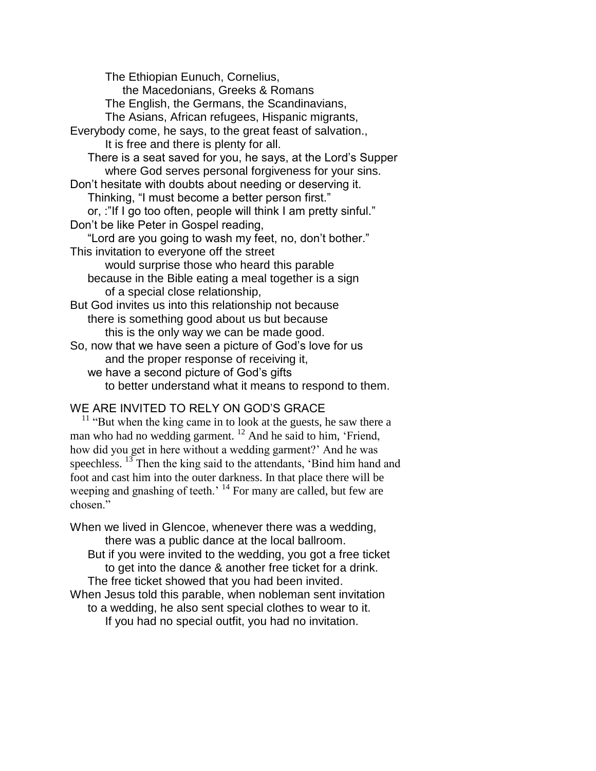The Ethiopian Eunuch, Cornelius, the Macedonians, Greeks & Romans The English, the Germans, the Scandinavians, The Asians, African refugees, Hispanic migrants, Everybody come, he says, to the great feast of salvation., It is free and there is plenty for all. There is a seat saved for you, he says, at the Lord's Supper where God serves personal forgiveness for your sins. Don't hesitate with doubts about needing or deserving it. Thinking, "I must become a better person first." or, :"If I go too often, people will think I am pretty sinful." Don't be like Peter in Gospel reading, "Lord are you going to wash my feet, no, don't bother." This invitation to everyone off the street would surprise those who heard this parable because in the Bible eating a meal together is a sign of a special close relationship, But God invites us into this relationship not because there is something good about us but because this is the only way we can be made good. So, now that we have seen a picture of God's love for us and the proper response of receiving it, we have a second picture of God's gifts to better understand what it means to respond to them.

# WE ARE INVITED TO RELY ON GOD'S GRACE

 $11$  "But when the king came in to look at the guests, he saw there a man who had no wedding garment.<sup>12</sup> And he said to him, 'Friend, how did you get in here without a wedding garment?' And he was speechless. <sup>13</sup> Then the king said to the attendants, 'Bind him hand and foot and cast him into the outer darkness. In that place there will be weeping and gnashing of teeth.<sup>14</sup> For many are called, but few are chosen."

When we lived in Glencoe, whenever there was a wedding, there was a public dance at the local ballroom. But if you were invited to the wedding, you got a free ticket to get into the dance & another free ticket for a drink. The free ticket showed that you had been invited. When Jesus told this parable, when nobleman sent invitation to a wedding, he also sent special clothes to wear to it. If you had no special outfit, you had no invitation.